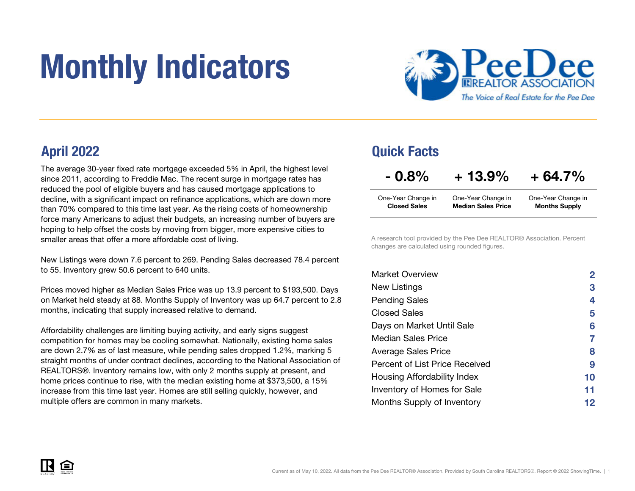# Monthly Indicators



The average 30-year fixed rate mortgage exceeded 5% in April, the highest level since 2011, according to Freddie Mac. The recent surge in mortgage rates has reduced the pool of eligible buyers and has caused mortgage applications to decline, with a significant impact on refinance applications, which are down more than 70% compared to this time last year. As the rising costs of homeownership force many Americans to adjust their budgets, an increasing number of buyers are hoping to help offset the costs by moving from bigger, more expensive cities to smaller areas that offer a more affordable cost of living.

New Listings were down 7.6 percent to 269. Pending Sales decreased 78.4 percent to 55. Inventory grew 50.6 percent to 640 units.

Prices moved higher as Median Sales Price was up 13.9 percent to \$193,500. Days on Market held steady at 88. Months Supply of Inventory was up 64.7 percent to 2.8 months, indicating that supply increased relative to demand.

Affordability challenges are limiting buying activity, and early signs suggest competition for homes may be cooling somewhat. Nationally, existing home sales are down 2.7% as of last measure, while pending sales dropped 1.2%, marking 5 straight months of under contract declines, according to the National Association of REALTORS®. Inventory remains low, with only 2 months supply at present, and home prices continue to rise, with the median existing home at \$373,500, a 15% increase from this time last year. Homes are still selling quickly, however, and multiple offers are common in many markets.

### April 2022 Quick Facts

| $-0.8\%$            | $+13.9%$                  | $+64.7%$             |
|---------------------|---------------------------|----------------------|
| One-Year Change in  | One-Year Change in        | One-Year Change in   |
| <b>Closed Sales</b> | <b>Median Sales Price</b> | <b>Months Supply</b> |

A research tool provided by the Pee Dee REALTOR® Association. Percent changes are calculated using rounded figures.

| <b>Market Overview</b>             | $\mathbf{2}$ |
|------------------------------------|--------------|
| New Listings                       | 3            |
| <b>Pending Sales</b>               | 4            |
| Closed Sales                       | 5            |
| Days on Market Until Sale          | 6            |
| Median Sales Price                 |              |
| <b>Average Sales Price</b>         | 8            |
| Percent of List Price Received     | 9            |
| Housing Affordability Index        | 10           |
| <b>Inventory of Homes for Sale</b> | 11           |
| Months Supply of Inventory         | 12           |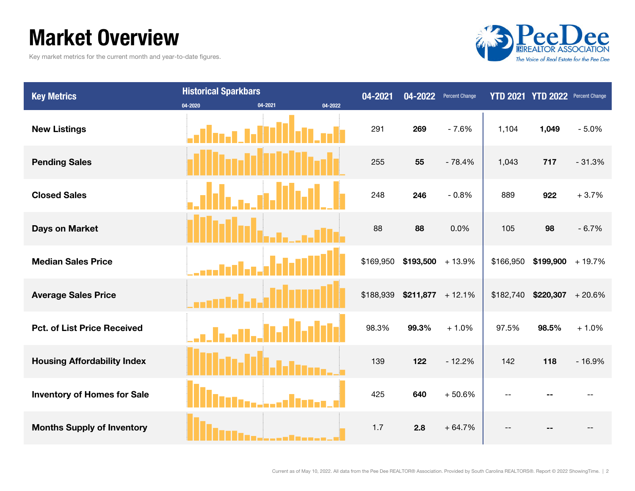### Market Overview

Key market metrics for the current month and year-to-date figures.



| <b>Key Metrics</b>                 | <b>Historical Sparkbars</b> |                    | 04-2021   | 04-2022 | <b>Percent Change</b> |           | YTD 2021 YTD 2022 Percent Change |          |
|------------------------------------|-----------------------------|--------------------|-----------|---------|-----------------------|-----------|----------------------------------|----------|
|                                    | 04-2020                     | 04-2021<br>04-2022 |           |         |                       |           |                                  |          |
| <b>New Listings</b>                |                             |                    | 291       | 269     | $-7.6%$               | 1,104     | 1,049                            | $-5.0%$  |
| <b>Pending Sales</b>               |                             |                    | 255       | 55      | $-78.4%$              | 1,043     | 717                              | $-31.3%$ |
| <b>Closed Sales</b>                |                             |                    | 248       | 246     | $-0.8%$               | 889       | 922                              | $+3.7%$  |
| <b>Days on Market</b>              |                             |                    | 88        | 88      | 0.0%                  | 105       | 98                               | $-6.7%$  |
| <b>Median Sales Price</b>          |                             |                    | \$169,950 |         | $$193,500 + 13.9\%$   | \$166,950 | $$199,900 + 19.7\%$              |          |
| <b>Average Sales Price</b>         |                             |                    | \$188,939 |         | $$211,877$ + 12.1%    | \$182,740 | $$220,307$ + 20.6%               |          |
| <b>Pct. of List Price Received</b> |                             |                    | 98.3%     | 99.3%   | $+1.0%$               | 97.5%     | 98.5%                            | $+1.0%$  |
| <b>Housing Affordability Index</b> |                             |                    | 139       | 122     | $-12.2%$              | 142       | 118                              | $-16.9%$ |
| <b>Inventory of Homes for Sale</b> |                             |                    | 425       | 640     | $+50.6%$              |           |                                  |          |
| <b>Months Supply of Inventory</b>  |                             |                    | 1.7       | 2.8     | $+64.7%$              |           |                                  |          |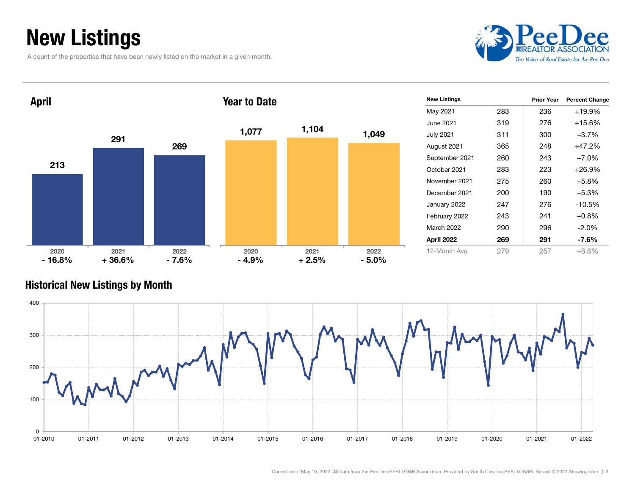### New Listings

A count of the properties that have been newly listed on the market in a given month.



| <b>April</b>     |                  |                 | <b>Year to Date</b> |                 |                 | <b>New Listings</b> |     | <b>Prior Year</b> | <b>Percent Change</b> |
|------------------|------------------|-----------------|---------------------|-----------------|-----------------|---------------------|-----|-------------------|-----------------------|
|                  |                  |                 |                     |                 |                 | May 2021            | 283 | 236               | +19.9%                |
|                  |                  |                 |                     |                 |                 | June 2021           | 319 | 276               | $+15.6%$              |
|                  | 291              |                 | 1,077               | 1,104           | 1,049           | <b>July 2021</b>    | 311 | 300               | $+3.7%$               |
|                  |                  | 269             |                     |                 |                 | August 2021         | 365 | 248               | $+47.2%$              |
|                  |                  |                 |                     |                 |                 | September 2021      | 260 | 243               | $+7.0%$               |
| 213              |                  |                 |                     |                 |                 | October 2021        | 283 | 223               | $+26.9%$              |
|                  |                  |                 |                     |                 |                 | November 2021       | 275 | 260               | $+5.8%$               |
|                  |                  |                 |                     |                 |                 | December 2021       | 200 | 190               | $+5.3%$               |
|                  |                  |                 |                     |                 |                 | January 2022        | 247 | 276               | $-10.5%$              |
|                  |                  |                 |                     |                 |                 | February 2022       | 243 | 241               | $+0.8%$               |
|                  |                  |                 |                     |                 |                 | <b>March 2022</b>   | 290 | 296               | $-2.0%$               |
|                  |                  |                 |                     |                 |                 | April 2022          | 269 | 291               | $-7.6%$               |
| 2020<br>$-16.8%$ | 2021<br>$+36.6%$ | 2022<br>$-7.6%$ | 2020<br>$-4.9%$     | 2021<br>$+2.5%$ | 2022<br>$-5.0%$ | 12-Month Avg        | 279 | 257               | $+8.6%$               |

#### Historical New Listings by Month

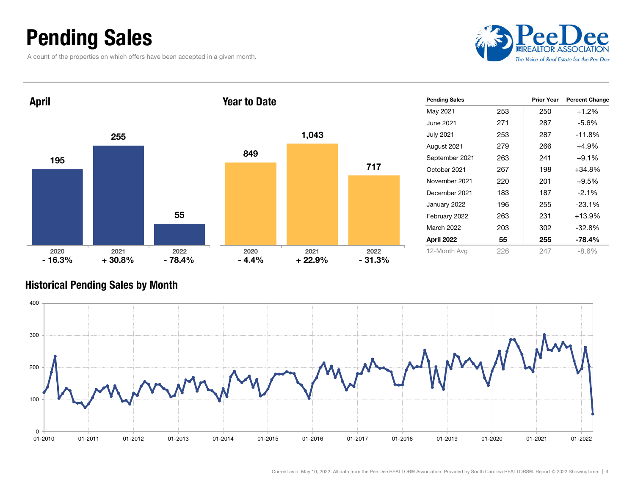### Pending Sales

A count of the properties on which offers have been accepted in a given month.



| <b>April</b>     |                  |                  | <b>Year to Date</b> |                  |                  | <b>Pending Sales</b> |     | <b>Prior Year</b> | <b>Percent Change</b> |
|------------------|------------------|------------------|---------------------|------------------|------------------|----------------------|-----|-------------------|-----------------------|
|                  |                  |                  |                     |                  |                  | May 2021             | 253 | 250               | $+1.2%$               |
|                  |                  |                  |                     |                  |                  | June 2021            | 271 | 287               | $-5.6%$               |
|                  | 255              |                  |                     | 1,043            |                  | <b>July 2021</b>     | 253 | 287               | $-11.8%$              |
|                  |                  |                  |                     |                  |                  | August 2021          | 279 | 266               | $+4.9%$               |
| 195              |                  |                  | 849                 |                  |                  | September 2021       | 263 | 241               | $+9.1%$               |
|                  |                  |                  |                     |                  | 717              | October 2021         | 267 | 198               | $+34.8%$              |
|                  |                  |                  |                     |                  |                  | November 2021        | 220 | 201               | $+9.5%$               |
|                  |                  |                  |                     |                  |                  | December 2021        | 183 | 187               | $-2.1%$               |
|                  |                  |                  |                     |                  |                  | January 2022         | 196 | 255               | $-23.1%$              |
|                  |                  | 55               |                     |                  |                  | February 2022        | 263 | 231               | +13.9%                |
|                  |                  |                  |                     |                  |                  | March 2022           | 203 | 302               | $-32.8%$              |
|                  |                  |                  |                     |                  |                  | April 2022           | 55  | 255               | $-78.4%$              |
| 2020<br>$-16.3%$ | 2021<br>$+30.8%$ | 2022<br>$-78.4%$ | 2020<br>$-4.4%$     | 2021<br>$+22.9%$ | 2022<br>$-31.3%$ | 12-Month Avg         | 226 | 247               | $-8.6%$               |

#### Historical Pending Sales by Month

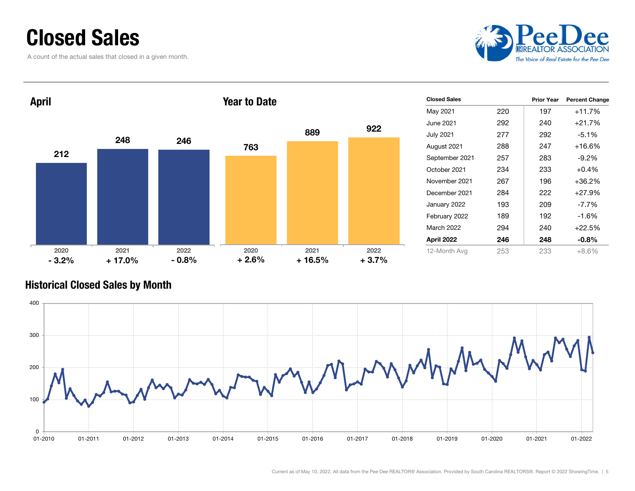### Closed Sales

A count of the actual sales that closed in a given month.



| <b>April</b> |          |         | <b>Year to Date</b> |          |         | <b>Closed Sales</b> |     | <b>Prior Year</b> | <b>Percent Change</b> |
|--------------|----------|---------|---------------------|----------|---------|---------------------|-----|-------------------|-----------------------|
|              |          |         |                     |          |         | May 2021            | 220 | 197               | $+11.7%$              |
|              |          |         |                     |          | 922     | June 2021           | 292 | 240               | $+21.7%$              |
|              | 248      |         |                     | 889      |         | <b>July 2021</b>    | 277 | 292               | $-5.1%$               |
|              |          | 246     | 763                 |          |         | August 2021         | 288 | 247               | $+16.6%$              |
| 212          |          |         |                     |          |         | September 2021      | 257 | 283               | $-9.2%$               |
|              |          |         |                     |          |         | October 2021        | 234 | 233               | $+0.4%$               |
|              |          |         |                     |          |         | November 2021       | 267 | 196               | $+36.2%$              |
|              |          |         |                     |          |         | December 2021       | 284 | 222               | +27.9%                |
|              |          |         |                     |          |         | January 2022        | 193 | 209               | $-7.7%$               |
|              |          |         |                     |          |         | February 2022       | 189 | 192               | $-1.6%$               |
|              |          |         |                     |          |         | March 2022          | 294 | 240               | $+22.5%$              |
|              |          |         |                     |          |         | April 2022          | 246 | 248               | $-0.8%$               |
| 2020         | 2021     | 2022    | 2020                | 2021     | 2022    | 12-Month Avg        | 253 | 233               | $+8.6%$               |
| $-3.2%$      | $+17.0%$ | $-0.8%$ | $+2.6%$             | $+16.5%$ | $+3.7%$ |                     |     |                   |                       |

#### Historical Closed Sales by Month

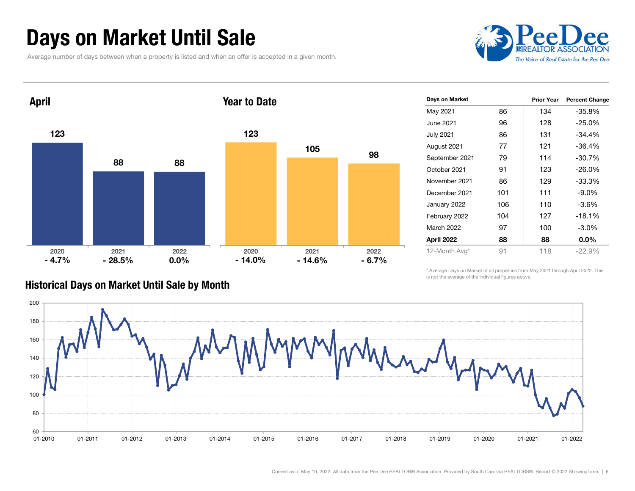### Days on Market Until Sale

Average number of days between when a property is listed and when an offer is accepted in a given month.





| Days on Market    |     | <b>Prior Year</b> | <b>Percent Change</b> |
|-------------------|-----|-------------------|-----------------------|
| May 2021          | 86  | 134               | $-35.8%$              |
| June 2021         | 96  | 128               | $-25.0\%$             |
| <b>July 2021</b>  | 86  | 131               | $-34.4%$              |
| August 2021       | 77  | 121               | $-36.4%$              |
| September 2021    | 79  | 114               | -30.7%                |
| October 2021      | 91  | 123               | $-26.0\%$             |
| November 2021     | 86  | 129               | $-33.3%$              |
| December 2021     | 101 | 111               | $-9.0\%$              |
| January 2022      | 106 | 110               | $-3.6%$               |
| February 2022     | 104 | 127               | $-18.1%$              |
| <b>March 2022</b> | 97  | 100               | $-3.0\%$              |
| April 2022        | 88  | 88                | $0.0\%$               |
| 12-Month Avg*     | 91  | 118               | $-22.9%$              |

#### Historical Days on Market Until Sale by Month

\* Average Days on Market of all properties from May 2021 through April 2022. This is not the average of the individual figures above.

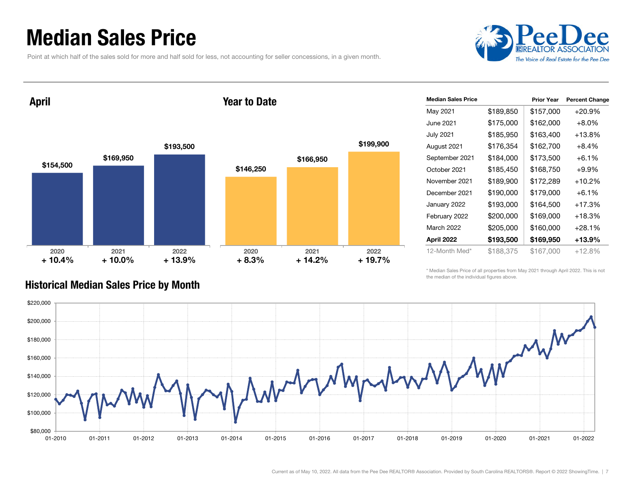### Median Sales Price

Point at which half of the sales sold for more and half sold for less, not accounting for seller concessions, in a given month.



April

#### Year to Date



| <b>Median Sales Price</b> |           | <b>Prior Year</b> | <b>Percent Change</b> |
|---------------------------|-----------|-------------------|-----------------------|
| May 2021                  | \$189,850 | \$157,000         | $+20.9%$              |
| June 2021.                | \$175,000 | \$162,000         | $+8.0\%$              |
| <b>July 2021</b>          | \$185,950 | \$163,400         | $+13.8\%$             |
| August 2021               | \$176,354 | \$162,700         | $+8.4%$               |
| September 2021            | \$184,000 | \$173,500         | $+6.1\%$              |
| October 2021              | \$185,450 | \$168,750         | $+9.9\%$              |
| November 2021             | \$189,900 | \$172,289         | $+10.2%$              |
| December 2021             | \$190,000 | \$179,000         | $+6.1\%$              |
| January 2022              | \$193,000 | \$164,500         | $+17.3%$              |
| February 2022             | \$200,000 | \$169,000         | $+18.3\%$             |
| March 2022                | \$205,000 | \$160,000         | $+28.1\%$             |
| April 2022                | \$193,500 | \$169,950         | +13.9%                |
| 12-Month Med*             | \$188,375 | \$167,000         | +12.8%                |

\* Median Sales Price of all properties from May 2021 through April 2022. This is not the median of the individual figures above.



#### Historical Median Sales Price by Month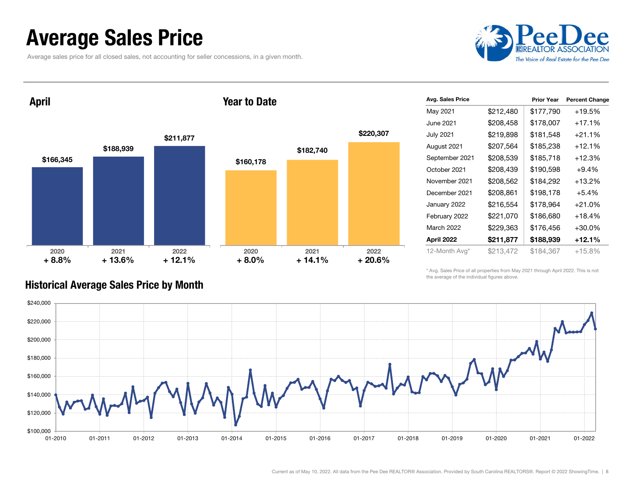### Average Sales Price

Average sales price for all closed sales, not accounting for seller concessions, in a given month.



April

#### Year to Date



| Avg. Sales Price |           | <b>Prior Year</b> | <b>Percent Change</b> |
|------------------|-----------|-------------------|-----------------------|
| May 2021         | \$212,480 | \$177,790         | +19.5%                |
| June 2021.       | \$208,458 | \$178,007         | $+17.1%$              |
| <b>July 2021</b> | \$219,898 | \$181,548         | $+21.1%$              |
| August 2021      | \$207,564 | \$185,238         | $+12.1%$              |
| September 2021   | \$208,539 | \$185,718         | $+12.3%$              |
| October 2021     | \$208,439 | \$190,598         | $+9.4%$               |
| November 2021    | \$208,562 | \$184,292         | $+13.2%$              |
| December 2021    | \$208,861 | \$198,178         | $+5.4%$               |
| January 2022     | \$216,554 | \$178,964         | $+21.0%$              |
| February 2022    | \$221,070 | \$186,680         | $+18.4%$              |
| March 2022       | \$229,363 | \$176,456         | $+30.0%$              |
| April 2022       | \$211,877 | \$188,939         | +12.1%                |
| 12-Month Avg*    | \$213,472 | \$184.367         | $+15.8%$              |

\* Avg. Sales Price of all properties from May 2021 through April 2022. This is not the average of the individual figures above.



#### Historical Average Sales Price by Month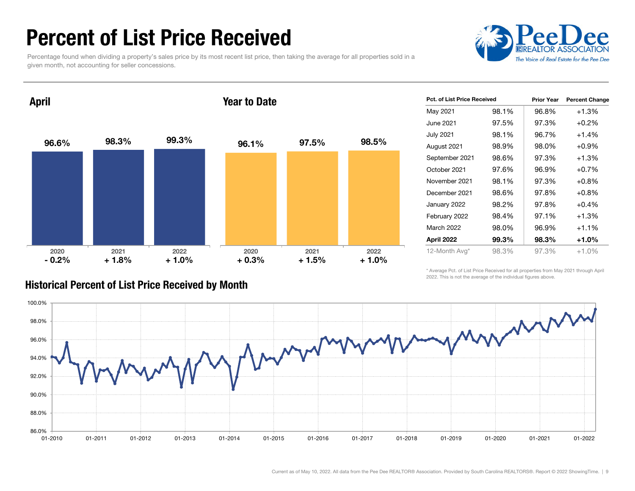### Percent of List Price Received

Percentage found when dividing a property's sales price by its most recent list price, then taking the average for all properties sold in a given month, not accounting for seller concessions.



96.6% 98.3% 99.3% 2020 2021 2022 April 96.1% 97.5% 98.5% 2020 2021 2022 Year to Date $-0.2%$  $+1.8\%$   $+1.0\%$   $+0.3\%$ + 1.8% + 1.0% + 1.5% + 1.0%

| Pct. of List Price Received |       | <b>Prior Year</b> | <b>Percent Change</b> |
|-----------------------------|-------|-------------------|-----------------------|
| May 2021                    | 98.1% | 96.8%             | +1.3%                 |
| June 2021                   | 97.5% | 97.3%             | $+0.2%$               |
| <b>July 2021</b>            | 98.1% | 96.7%             | $+1.4%$               |
| August 2021                 | 98.9% | 98.0%             | $+0.9\%$              |
| September 2021              | 98.6% | 97.3%             | +1.3%                 |
| October 2021                | 97.6% | 96.9%             | $+0.7%$               |
| November 2021               | 98.1% | 97.3%             | $+0.8%$               |
| December 2021               | 98.6% | 97.8%             | $+0.8%$               |
| January 2022                | 98.2% | 97.8%             | $+0.4%$               |
| February 2022               | 98.4% | 97.1%             | $+1.3%$               |
| <b>March 2022</b>           | 98.0% | 96.9%             | $+1.1%$               |
| April 2022                  | 99.3% | 98.3%             | $+1.0%$               |
| 12-Month Avg*               | 98.3% | 97.3%             | $+1.0\%$              |

#### Historical Percent of List Price Received by Month

\* Average Pct. of List Price Received for all properties from May 2021 through April 2022. This is not the average of the individual figures above.

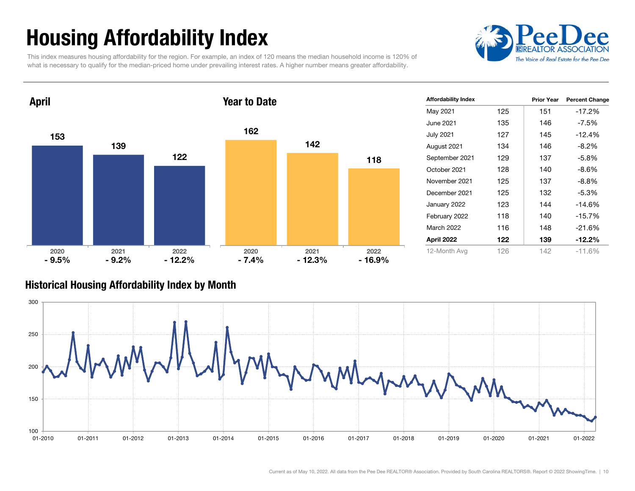## Housing Affordability Index

This index measures housing affordability for the region. For example, an index of 120 means the median household income is 120% of what is necessary to qualify for the median-priced home under prevailing interest rates. A higher number means greater affordability.





| <b>Affordability Index</b> |     | <b>Prior Year</b> | <b>Percent Change</b> |
|----------------------------|-----|-------------------|-----------------------|
| May 2021                   | 125 | 151               | $-17.2%$              |
| June 2021.                 | 135 | 146               | -7.5%                 |
| <b>July 2021</b>           | 127 | 145               | $-12.4%$              |
| August 2021                | 134 | 146               | $-8.2%$               |
| September 2021             | 129 | 137               | $-5.8\%$              |
| October 2021               | 128 | 140               | $-8.6%$               |
| November 2021              | 125 | 137               | $-8.8\%$              |
| December 2021              | 125 | 132               | $-5.3%$               |
| January 2022               | 123 | 144               | $-14.6%$              |
| February 2022              | 118 | 140               | $-15.7%$              |
| <b>March 2022</b>          | 116 | 148               | $-21.6%$              |
| April 2022                 | 122 | 139               | $-12.2\%$             |
| 12-Month Avg               | 126 | 142               | $-11.6%$              |

#### Historical Housing Affordability Index by Mont h

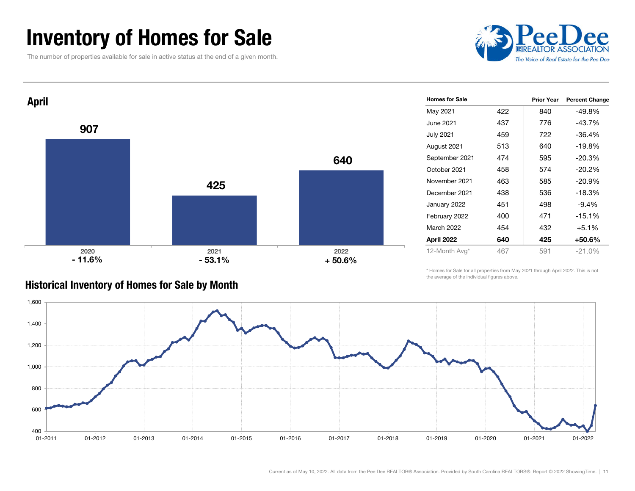### Inventory of Homes for Sale

The number of properties available for sale in active status at the end of a given month.



437 776 -43.7%

458 574 -20.2%

463 585 -20.9%

438 536 -18.3%

454 432 +5.1%

Prior Year Percent Change



#### Historical Inventory of Homes for Sale by Month

\* Homes for Sale for all properties from May 2021 through April 2022. This is not the average of the individual figures above.



Homes for Sale